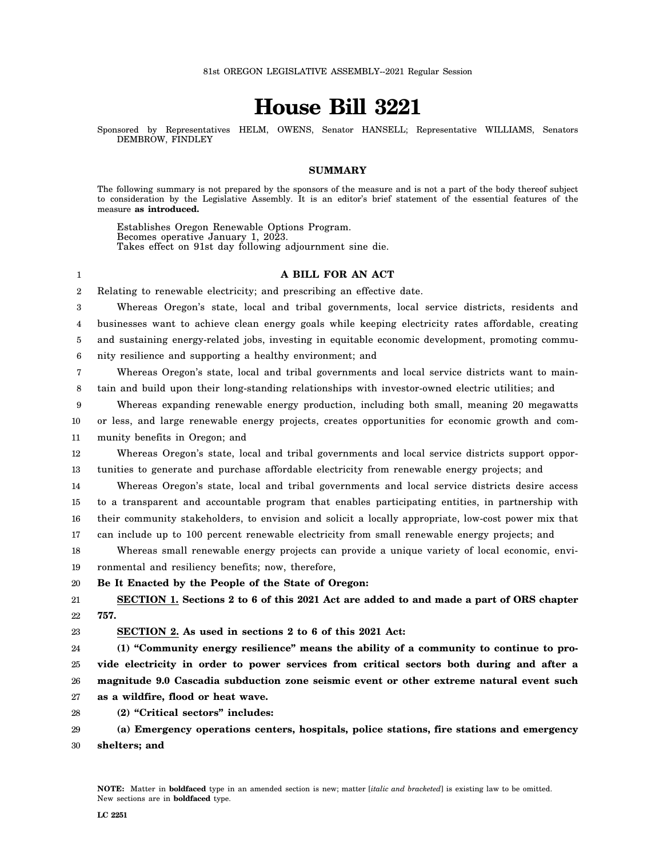# **House Bill 3221**

Sponsored by Representatives HELM, OWENS, Senator HANSELL; Representative WILLIAMS, Senators DEMBROW, FINDLEY

# **SUMMARY**

The following summary is not prepared by the sponsors of the measure and is not a part of the body thereof subject to consideration by the Legislative Assembly. It is an editor's brief statement of the essential features of the measure **as introduced.**

Establishes Oregon Renewable Options Program. Becomes operative January 1, 2023. Takes effect on 91st day following adjournment sine die.

#### 1

**A BILL FOR AN ACT**

2 Relating to renewable electricity; and prescribing an effective date.

3 4 5 6 Whereas Oregon's state, local and tribal governments, local service districts, residents and businesses want to achieve clean energy goals while keeping electricity rates affordable, creating and sustaining energy-related jobs, investing in equitable economic development, promoting community resilience and supporting a healthy environment; and

7 8 Whereas Oregon's state, local and tribal governments and local service districts want to maintain and build upon their long-standing relationships with investor-owned electric utilities; and

9 10 11 Whereas expanding renewable energy production, including both small, meaning 20 megawatts or less, and large renewable energy projects, creates opportunities for economic growth and community benefits in Oregon; and

12 13 Whereas Oregon's state, local and tribal governments and local service districts support opportunities to generate and purchase affordable electricity from renewable energy projects; and

14 15 16 17 Whereas Oregon's state, local and tribal governments and local service districts desire access to a transparent and accountable program that enables participating entities, in partnership with their community stakeholders, to envision and solicit a locally appropriate, low-cost power mix that can include up to 100 percent renewable electricity from small renewable energy projects; and

18 19 Whereas small renewable energy projects can provide a unique variety of local economic, environmental and resiliency benefits; now, therefore,

20 **Be It Enacted by the People of the State of Oregon:**

21 22 **SECTION 1. Sections 2 to 6 of this 2021 Act are added to and made a part of ORS chapter 757.**

23 **SECTION 2. As used in sections 2 to 6 of this 2021 Act:**

24 25 26 27 **(1) "Community energy resilience" means the ability of a community to continue to provide electricity in order to power services from critical sectors both during and after a magnitude 9.0 Cascadia subduction zone seismic event or other extreme natural event such as a wildfire, flood or heat wave.**

28 **(2) "Critical sectors" includes:**

29 30 **(a) Emergency operations centers, hospitals, police stations, fire stations and emergency shelters; and**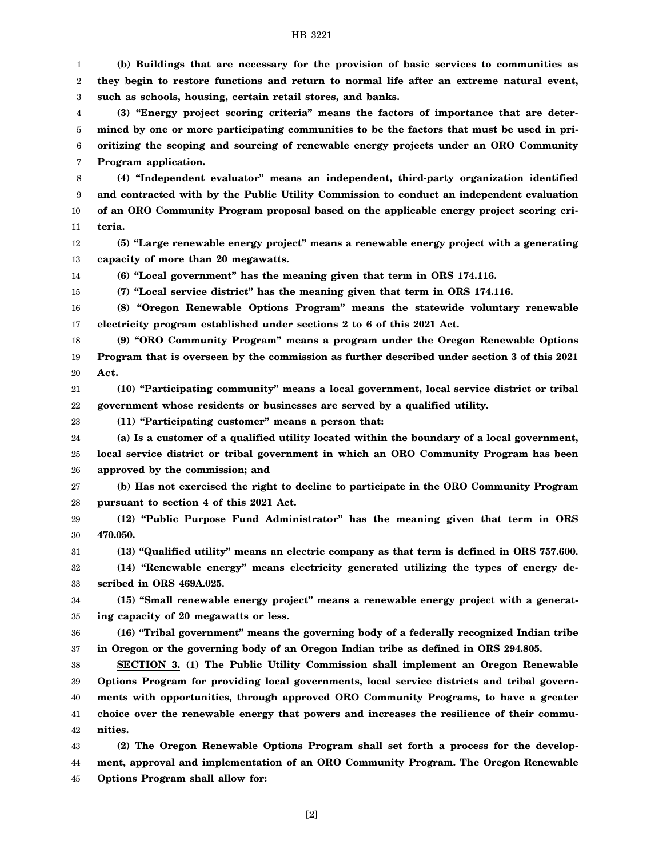1 2 3 **(b) Buildings that are necessary for the provision of basic services to communities as they begin to restore functions and return to normal life after an extreme natural event, such as schools, housing, certain retail stores, and banks.**

4 5 6 7 **(3) "Energy project scoring criteria" means the factors of importance that are determined by one or more participating communities to be the factors that must be used in prioritizing the scoping and sourcing of renewable energy projects under an ORO Community Program application.**

8 9 10 11 **(4) "Independent evaluator" means an independent, third-party organization identified and contracted with by the Public Utility Commission to conduct an independent evaluation of an ORO Community Program proposal based on the applicable energy project scoring criteria.**

12 13 **(5) "Large renewable energy project" means a renewable energy project with a generating capacity of more than 20 megawatts.**

14

**(6) "Local government" has the meaning given that term in ORS 174.116.**

15 **(7) "Local service district" has the meaning given that term in ORS 174.116.**

16 17 **(8) "Oregon Renewable Options Program" means the statewide voluntary renewable electricity program established under sections 2 to 6 of this 2021 Act.**

18 19 20 **(9) "ORO Community Program" means a program under the Oregon Renewable Options Program that is overseen by the commission as further described under section 3 of this 2021 Act.**

21 22 **(10) "Participating community" means a local government, local service district or tribal government whose residents or businesses are served by a qualified utility.**

23

**(11) "Participating customer" means a person that:**

24 25 26 **(a) Is a customer of a qualified utility located within the boundary of a local government, local service district or tribal government in which an ORO Community Program has been approved by the commission; and**

27 28 **(b) Has not exercised the right to decline to participate in the ORO Community Program pursuant to section 4 of this 2021 Act.**

29 30 **(12) "Public Purpose Fund Administrator" has the meaning given that term in ORS 470.050.**

31 **(13) "Qualified utility" means an electric company as that term is defined in ORS 757.600.**

32 33 **(14) "Renewable energy" means electricity generated utilizing the types of energy described in ORS 469A.025.**

34 35 **(15) "Small renewable energy project" means a renewable energy project with a generating capacity of 20 megawatts or less.**

36 37 **(16) "Tribal government" means the governing body of a federally recognized Indian tribe in Oregon or the governing body of an Oregon Indian tribe as defined in ORS 294.805.**

38 39 40 41 42 **SECTION 3. (1) The Public Utility Commission shall implement an Oregon Renewable Options Program for providing local governments, local service districts and tribal governments with opportunities, through approved ORO Community Programs, to have a greater choice over the renewable energy that powers and increases the resilience of their communities.**

43 44 45 **(2) The Oregon Renewable Options Program shall set forth a process for the development, approval and implementation of an ORO Community Program. The Oregon Renewable Options Program shall allow for:**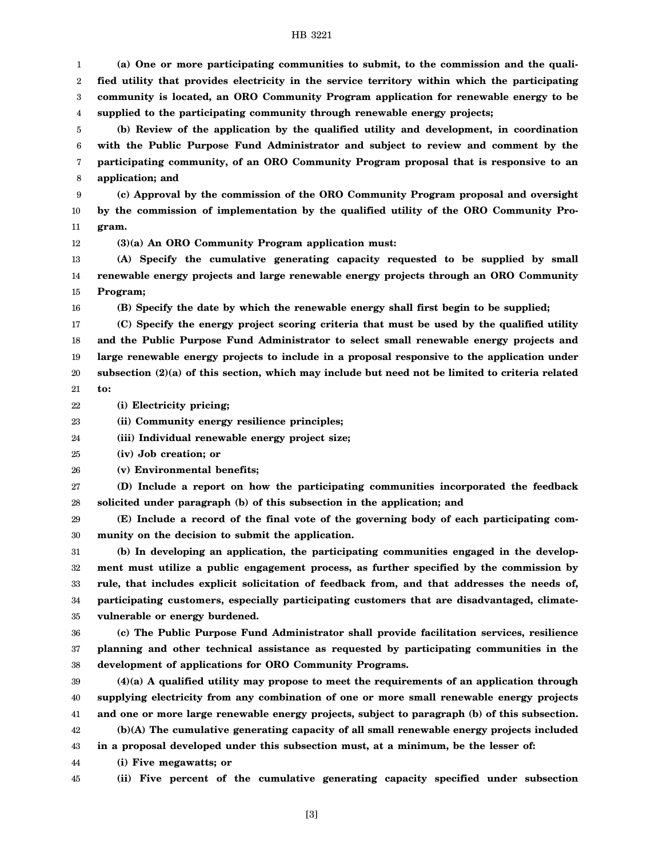### HB 3221

1 2 3 4 **(a) One or more participating communities to submit, to the commission and the qualified utility that provides electricity in the service territory within which the participating community is located, an ORO Community Program application for renewable energy to be supplied to the participating community through renewable energy projects;**

5 6 7 8 **(b) Review of the application by the qualified utility and development, in coordination with the Public Purpose Fund Administrator and subject to review and comment by the participating community, of an ORO Community Program proposal that is responsive to an application; and**

9 10 11 **(c) Approval by the commission of the ORO Community Program proposal and oversight by the commission of implementation by the qualified utility of the ORO Community Program.**

12 **(3)(a) An ORO Community Program application must:**

13 14 15 **(A) Specify the cumulative generating capacity requested to be supplied by small renewable energy projects and large renewable energy projects through an ORO Community Program;**

**(B) Specify the date by which the renewable energy shall first begin to be supplied;**

17 18 19 20 21 **(C) Specify the energy project scoring criteria that must be used by the qualified utility and the Public Purpose Fund Administrator to select small renewable energy projects and large renewable energy projects to include in a proposal responsive to the application under subsection (2)(a) of this section, which may include but need not be limited to criteria related to:**

22 **(i) Electricity pricing;**

16

23 **(ii) Community energy resilience principles;**

24 **(iii) Individual renewable energy project size;**

25 **(iv) Job creation; or**

26 **(v) Environmental benefits;**

27 28 **(D) Include a report on how the participating communities incorporated the feedback solicited under paragraph (b) of this subsection in the application; and**

29 30 **(E) Include a record of the final vote of the governing body of each participating community on the decision to submit the application.**

31 32 33 34 35 **(b) In developing an application, the participating communities engaged in the development must utilize a public engagement process, as further specified by the commission by rule, that includes explicit solicitation of feedback from, and that addresses the needs of, participating customers, especially participating customers that are disadvantaged, climatevulnerable or energy burdened.**

36 37 38 **(c) The Public Purpose Fund Administrator shall provide facilitation services, resilience planning and other technical assistance as requested by participating communities in the development of applications for ORO Community Programs.**

39 40 41 42 43 44 **(4)(a) A qualified utility may propose to meet the requirements of an application through supplying electricity from any combination of one or more small renewable energy projects and one or more large renewable energy projects, subject to paragraph (b) of this subsection. (b)(A) The cumulative generating capacity of all small renewable energy projects included in a proposal developed under this subsection must, at a minimum, be the lesser of: (i) Five megawatts; or**

45

**(ii) Five percent of the cumulative generating capacity specified under subsection**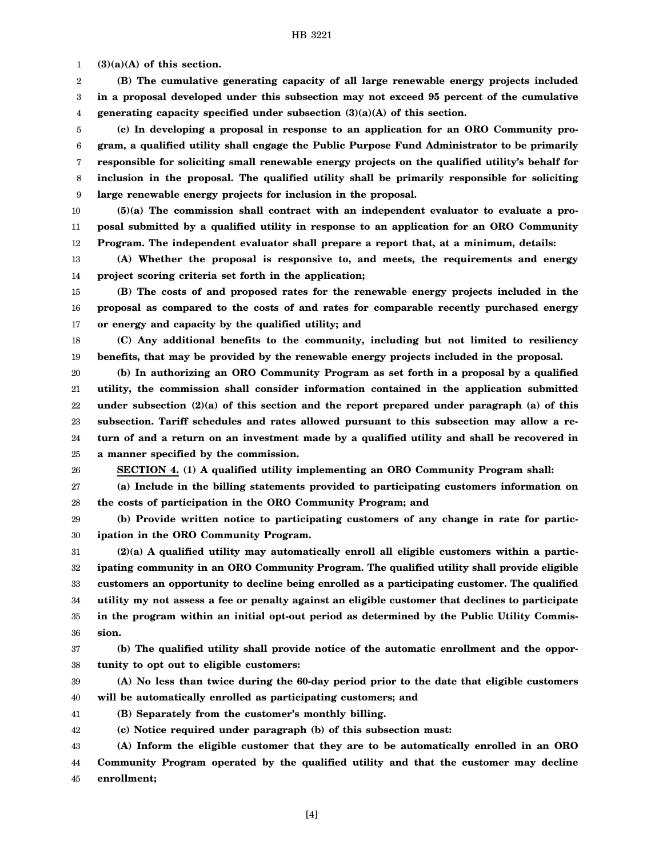1 **(3)(a)(A) of this section.**

2 3 4 **(B) The cumulative generating capacity of all large renewable energy projects included in a proposal developed under this subsection may not exceed 95 percent of the cumulative generating capacity specified under subsection (3)(a)(A) of this section.**

5 6 7 8 9 **(c) In developing a proposal in response to an application for an ORO Community program, a qualified utility shall engage the Public Purpose Fund Administrator to be primarily responsible for soliciting small renewable energy projects on the qualified utility's behalf for inclusion in the proposal. The qualified utility shall be primarily responsible for soliciting large renewable energy projects for inclusion in the proposal.**

10 11 12 **(5)(a) The commission shall contract with an independent evaluator to evaluate a proposal submitted by a qualified utility in response to an application for an ORO Community Program. The independent evaluator shall prepare a report that, at a minimum, details:**

13 14 **(A) Whether the proposal is responsive to, and meets, the requirements and energy project scoring criteria set forth in the application;**

15 16 17 **(B) The costs of and proposed rates for the renewable energy projects included in the proposal as compared to the costs of and rates for comparable recently purchased energy or energy and capacity by the qualified utility; and**

18 19 **(C) Any additional benefits to the community, including but not limited to resiliency benefits, that may be provided by the renewable energy projects included in the proposal.**

20 21 22 23 24 25 **(b) In authorizing an ORO Community Program as set forth in a proposal by a qualified utility, the commission shall consider information contained in the application submitted under subsection (2)(a) of this section and the report prepared under paragraph (a) of this subsection. Tariff schedules and rates allowed pursuant to this subsection may allow a return of and a return on an investment made by a qualified utility and shall be recovered in a manner specified by the commission.**

26

**SECTION 4. (1) A qualified utility implementing an ORO Community Program shall:**

27 28 **(a) Include in the billing statements provided to participating customers information on the costs of participation in the ORO Community Program; and**

29 30 **(b) Provide written notice to participating customers of any change in rate for participation in the ORO Community Program.**

31 32 33 34 35 36 **(2)(a) A qualified utility may automatically enroll all eligible customers within a participating community in an ORO Community Program. The qualified utility shall provide eligible customers an opportunity to decline being enrolled as a participating customer. The qualified utility my not assess a fee or penalty against an eligible customer that declines to participate in the program within an initial opt-out period as determined by the Public Utility Commission.**

37 38 **(b) The qualified utility shall provide notice of the automatic enrollment and the opportunity to opt out to eligible customers:**

39 40 **(A) No less than twice during the 60-day period prior to the date that eligible customers will be automatically enrolled as participating customers; and**

41 **(B) Separately from the customer's monthly billing.**

42 **(c) Notice required under paragraph (b) of this subsection must:**

43 44 45 **(A) Inform the eligible customer that they are to be automatically enrolled in an ORO Community Program operated by the qualified utility and that the customer may decline enrollment;**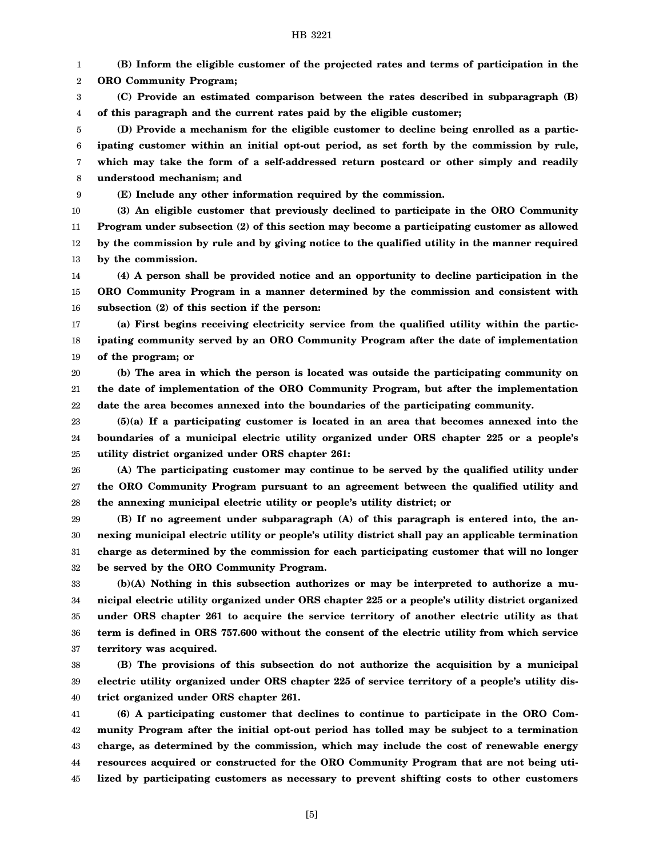### HB 3221

1 2 **(B) Inform the eligible customer of the projected rates and terms of participation in the ORO Community Program;**

3 4 **(C) Provide an estimated comparison between the rates described in subparagraph (B) of this paragraph and the current rates paid by the eligible customer;**

5 6 7 8 **(D) Provide a mechanism for the eligible customer to decline being enrolled as a participating customer within an initial opt-out period, as set forth by the commission by rule, which may take the form of a self-addressed return postcard or other simply and readily understood mechanism; and**

9

10

**(E) Include any other information required by the commission.**

11 12 13 **(3) An eligible customer that previously declined to participate in the ORO Community Program under subsection (2) of this section may become a participating customer as allowed by the commission by rule and by giving notice to the qualified utility in the manner required by the commission.**

14 15 16 **(4) A person shall be provided notice and an opportunity to decline participation in the ORO Community Program in a manner determined by the commission and consistent with subsection (2) of this section if the person:**

17 18 19 **(a) First begins receiving electricity service from the qualified utility within the participating community served by an ORO Community Program after the date of implementation of the program; or**

20 21 22 **(b) The area in which the person is located was outside the participating community on the date of implementation of the ORO Community Program, but after the implementation date the area becomes annexed into the boundaries of the participating community.**

23 24 25 **(5)(a) If a participating customer is located in an area that becomes annexed into the boundaries of a municipal electric utility organized under ORS chapter 225 or a people's utility district organized under ORS chapter 261:**

26 27 28 **(A) The participating customer may continue to be served by the qualified utility under the ORO Community Program pursuant to an agreement between the qualified utility and the annexing municipal electric utility or people's utility district; or**

29 30 31 32 **(B) If no agreement under subparagraph (A) of this paragraph is entered into, the annexing municipal electric utility or people's utility district shall pay an applicable termination charge as determined by the commission for each participating customer that will no longer be served by the ORO Community Program.**

33 34 35 36 37 **(b)(A) Nothing in this subsection authorizes or may be interpreted to authorize a municipal electric utility organized under ORS chapter 225 or a people's utility district organized under ORS chapter 261 to acquire the service territory of another electric utility as that term is defined in ORS 757.600 without the consent of the electric utility from which service territory was acquired.**

38 39 40 **(B) The provisions of this subsection do not authorize the acquisition by a municipal electric utility organized under ORS chapter 225 of service territory of a people's utility district organized under ORS chapter 261.**

41 42 43 44 45 **(6) A participating customer that declines to continue to participate in the ORO Community Program after the initial opt-out period has tolled may be subject to a termination charge, as determined by the commission, which may include the cost of renewable energy resources acquired or constructed for the ORO Community Program that are not being utilized by participating customers as necessary to prevent shifting costs to other customers**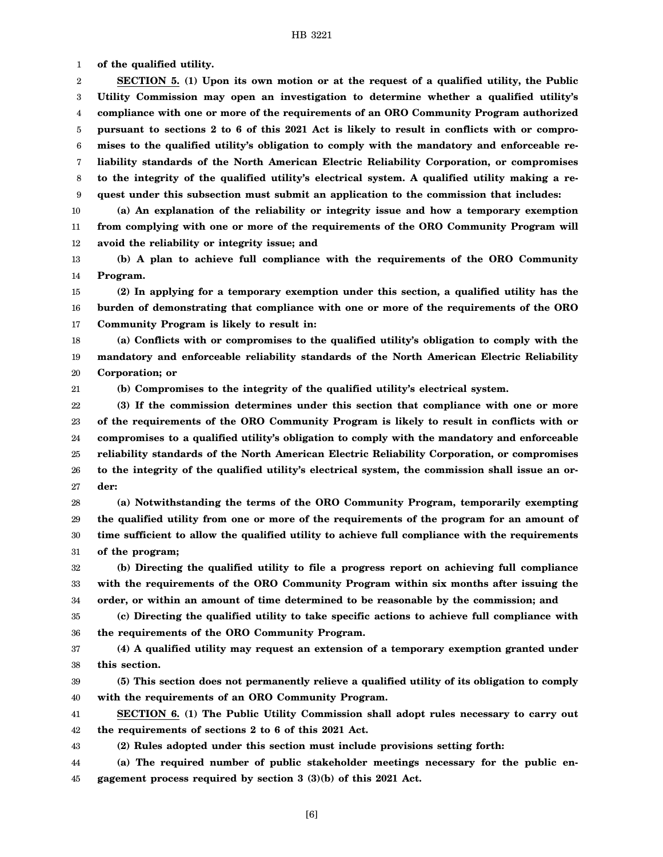1 **of the qualified utility.**

2 3 4 5 6 7 8 9 **SECTION 5. (1) Upon its own motion or at the request of a qualified utility, the Public Utility Commission may open an investigation to determine whether a qualified utility's compliance with one or more of the requirements of an ORO Community Program authorized pursuant to sections 2 to 6 of this 2021 Act is likely to result in conflicts with or compromises to the qualified utility's obligation to comply with the mandatory and enforceable reliability standards of the North American Electric Reliability Corporation, or compromises to the integrity of the qualified utility's electrical system. A qualified utility making a request under this subsection must submit an application to the commission that includes:**

10 11 12 **(a) An explanation of the reliability or integrity issue and how a temporary exemption from complying with one or more of the requirements of the ORO Community Program will avoid the reliability or integrity issue; and**

13 14 **(b) A plan to achieve full compliance with the requirements of the ORO Community Program.**

15 16 17 **(2) In applying for a temporary exemption under this section, a qualified utility has the burden of demonstrating that compliance with one or more of the requirements of the ORO Community Program is likely to result in:**

18 19 20 **(a) Conflicts with or compromises to the qualified utility's obligation to comply with the mandatory and enforceable reliability standards of the North American Electric Reliability Corporation; or**

21 **(b) Compromises to the integrity of the qualified utility's electrical system.**

22 23 24 25 26 27 **(3) If the commission determines under this section that compliance with one or more of the requirements of the ORO Community Program is likely to result in conflicts with or compromises to a qualified utility's obligation to comply with the mandatory and enforceable reliability standards of the North American Electric Reliability Corporation, or compromises to the integrity of the qualified utility's electrical system, the commission shall issue an order:**

28 29 30 31 **(a) Notwithstanding the terms of the ORO Community Program, temporarily exempting the qualified utility from one or more of the requirements of the program for an amount of time sufficient to allow the qualified utility to achieve full compliance with the requirements of the program;**

32 33 34 **(b) Directing the qualified utility to file a progress report on achieving full compliance with the requirements of the ORO Community Program within six months after issuing the order, or within an amount of time determined to be reasonable by the commission; and**

35 36 **(c) Directing the qualified utility to take specific actions to achieve full compliance with the requirements of the ORO Community Program.**

37 38 **(4) A qualified utility may request an extension of a temporary exemption granted under this section.**

39 40 **(5) This section does not permanently relieve a qualified utility of its obligation to comply with the requirements of an ORO Community Program.**

41 42 **SECTION 6. (1) The Public Utility Commission shall adopt rules necessary to carry out the requirements of sections 2 to 6 of this 2021 Act.**

43

**(2) Rules adopted under this section must include provisions setting forth:**

44 45 **(a) The required number of public stakeholder meetings necessary for the public engagement process required by section 3 (3)(b) of this 2021 Act.**

[6]